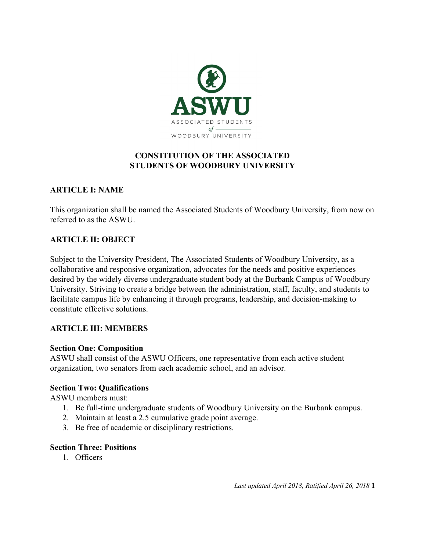

### **CONSTITUTION OF THE ASSOCIATED STUDENTS OF WOODBURY UNIVERSITY**

### **ARTICLE I: NAME**

This organization shall be named the Associated Students of Woodbury University, from now on referred to as the ASWU.

### **ARTICLE II: OBJECT**

Subject to the University President, The Associated Students of Woodbury University, as a collaborative and responsive organization, advocates for the needs and positive experiences desired by the widely diverse undergraduate student body at the Burbank Campus of Woodbury University. Striving to create a bridge between the administration, staff, faculty, and students to facilitate campus life by enhancing it through programs, leadership, and decision-making to constitute effective solutions.

#### **ARTICLE III: MEMBERS**

#### **Section One: Composition**

ASWU shall consist of the ASWU Officers, one representative from each active student organization, two senators from each academic school, and an advisor.

#### **Section Two: Qualifications**

ASWU members must:

- 1. Be full-time undergraduate students of Woodbury University on the Burbank campus.
- 2. Maintain at least a 2.5 cumulative grade point average.
- 3. Be free of academic or disciplinary restrictions.

#### **Section Three: Positions**

1. Officers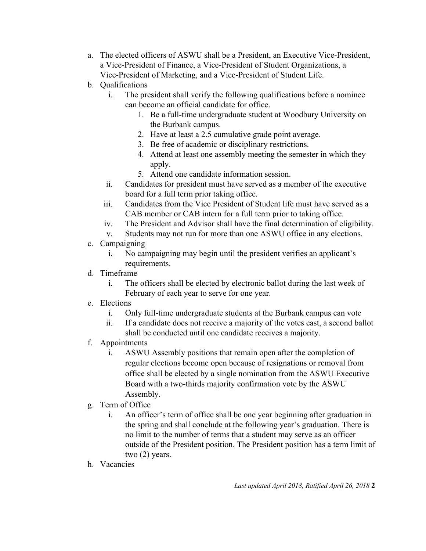- a. The elected officers of ASWU shall be a President, an Executive Vice-President, a Vice-President of Finance, a Vice-President of Student Organizations, a Vice-President of Marketing, and a Vice-President of Student Life.
- b. Qualifications
	- i. The president shall verify the following qualifications before a nominee can become an official candidate for office.
		- 1. Be a full-time undergraduate student at Woodbury University on the Burbank campus.
		- 2. Have at least a 2.5 cumulative grade point average.
		- 3. Be free of academic or disciplinary restrictions.
		- 4. Attend at least one assembly meeting the semester in which they apply.
		- 5. Attend one candidate information session.
	- ii. Candidates for president must have served as a member of the executive board for a full term prior taking office.
	- iii. Candidates from the Vice President of Student life must have served as a CAB member or CAB intern for a full term prior to taking office.
	- iv. The President and Advisor shall have the final determination of eligibility.
	- v. Students may not run for more than one ASWU office in any elections.
- c. Campaigning
	- i. No campaigning may begin until the president verifies an applicant's requirements.
- d. Timeframe
	- i. The officers shall be elected by electronic ballot during the last week of February of each year to serve for one year.
- e. Elections
	- i. Only full-time undergraduate students at the Burbank campus can vote
	- ii. If a candidate does not receive a majority of the votes cast, a second ballot shall be conducted until one candidate receives a majority.
- f. Appointments
	- i. ASWU Assembly positions that remain open after the completion of regular elections become open because of resignations or removal from office shall be elected by a single nomination from the ASWU Executive Board with a two-thirds majority confirmation vote by the ASWU Assembly.
- g. Term of Office
	- i. An officer's term of office shall be one year beginning after graduation in the spring and shall conclude at the following year's graduation. There is no limit to the number of terms that a student may serve as an officer outside of the President position. The President position has a term limit of two (2) years.
- h. Vacancies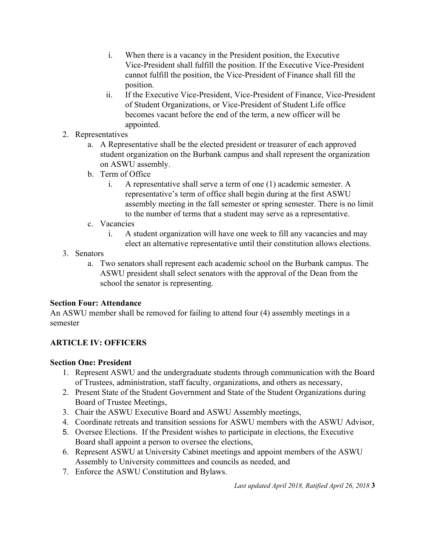- i. When there is a vacancy in the President position, the Executive Vice-President shall fulfill the position. If the Executive Vice-President cannot fulfill the position, the Vice-President of Finance shall fill the position.
- ii. If the Executive Vice-President, Vice-President of Finance, Vice-President of Student Organizations, or Vice-President of Student Life office becomes vacant before the end of the term, a new officer will be appointed.
- 2. Representatives
	- a. A Representative shall be the elected president or treasurer of each approved student organization on the Burbank campus and shall represent the organization on ASWU assembly.
	- b. Term of Office
		- i. A representative shall serve a term of one (1) academic semester. A representative's term of office shall begin during at the first ASWU assembly meeting in the fall semester or spring semester. There is no limit to the number of terms that a student may serve as a representative.
	- c. Vacancies
		- i. A student organization will have one week to fill any vacancies and may elect an alternative representative until their constitution allows elections.
- 3. Senators
	- a. Two senators shall represent each academic school on the Burbank campus. The ASWU president shall select senators with the approval of the Dean from the school the senator is representing.

# **Section Four: Attendance**

An ASWU member shall be removed for failing to attend four (4) assembly meetings in a semester

# **ARTICLE IV: OFFICERS**

# **Section One: President**

- 1. Represent ASWU and the undergraduate students through communication with the Board of Trustees, administration, staff faculty, organizations, and others as necessary,
- 2. Present State of the Student Government and State of the Student Organizations during Board of Trustee Meetings,
- 3. Chair the ASWU Executive Board and ASWU Assembly meetings,
- 4. Coordinate retreats and transition sessions for ASWU members with the ASWU Advisor,
- 5. Oversee Elections. If the President wishes to participate in elections, the Executive Board shall appoint a person to oversee the elections,
- 6. Represent ASWU at University Cabinet meetings and appoint members of the ASWU Assembly to University committees and councils as needed, and
- 7. Enforce the ASWU Constitution and Bylaws.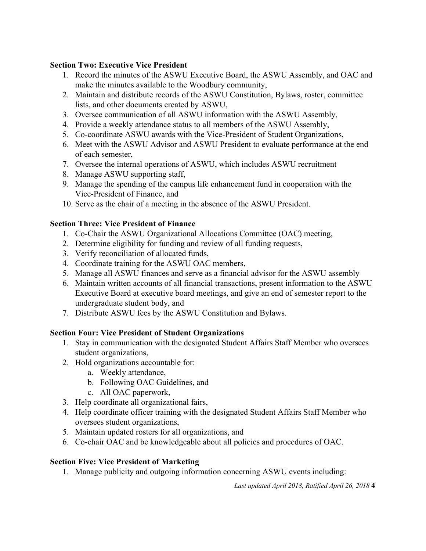#### **Section Two: Executive Vice President**

- 1. Record the minutes of the ASWU Executive Board, the ASWU Assembly, and OAC and make the minutes available to the Woodbury community,
- 2. Maintain and distribute records of the ASWU Constitution, Bylaws, roster, committee lists, and other documents created by ASWU,
- 3. Oversee communication of all ASWU information with the ASWU Assembly,
- 4. Provide a weekly attendance status to all members of the ASWU Assembly,
- 5. Co-coordinate ASWU awards with the Vice-President of Student Organizations,
- 6. Meet with the ASWU Advisor and ASWU President to evaluate performance at the end of each semester,
- 7. Oversee the internal operations of ASWU, which includes ASWU recruitment
- 8. Manage ASWU supporting staff,
- 9. Manage the spending of the campus life enhancement fund in cooperation with the Vice-President of Finance, and
- 10. Serve as the chair of a meeting in the absence of the ASWU President.

# **Section Three: Vice President of Finance**

- 1. Co-Chair the ASWU Organizational Allocations Committee (OAC) meeting,
- 2. Determine eligibility for funding and review of all funding requests,
- 3. Verify reconciliation of allocated funds,
- 4. Coordinate training for the ASWU OAC members,
- 5. Manage all ASWU finances and serve as a financial advisor for the ASWU assembly
- 6. Maintain written accounts of all financial transactions, present information to the ASWU Executive Board at executive board meetings, and give an end of semester report to the undergraduate student body, and
- 7. Distribute ASWU fees by the ASWU Constitution and Bylaws.

# **Section Four: Vice President of Student Organizations**

- 1. Stay in communication with the designated Student Affairs Staff Member who oversees student organizations,
- 2. Hold organizations accountable for:
	- a. Weekly attendance,
	- b. Following OAC Guidelines, and
	- c. All OAC paperwork,
- 3. Help coordinate all organizational fairs,
- 4. Help coordinate officer training with the designated Student Affairs Staff Member who oversees student organizations,
- 5. Maintain updated rosters for all organizations, and
- 6. Co-chair OAC and be knowledgeable about all policies and procedures of OAC.

# **Section Five: Vice President of Marketing**

1. Manage publicity and outgoing information concerning ASWU events including: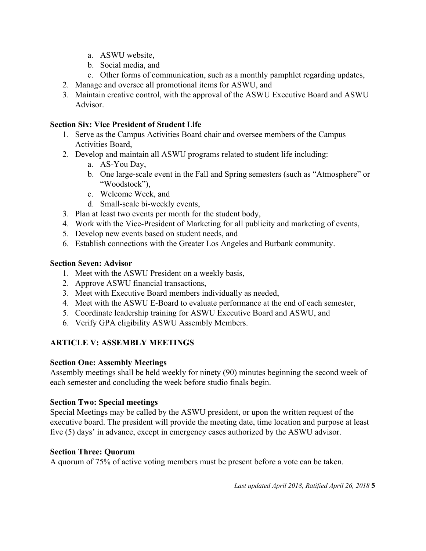- a. ASWU website,
- b. Social media, and
- c. Other forms of communication, such as a monthly pamphlet regarding updates,
- 2. Manage and oversee all promotional items for ASWU, and
- 3. Maintain creative control, with the approval of the ASWU Executive Board and ASWU Advisor.

#### **Section Six: Vice President of Student Life**

- 1. Serve as the Campus Activities Board chair and oversee members of the Campus Activities Board,
- 2. Develop and maintain all ASWU programs related to student life including:
	- a. AS-You Day,
	- b. One large-scale event in the Fall and Spring semesters (such as "Atmosphere" or "Woodstock"),
	- c. Welcome Week, and
	- d. Small-scale bi-weekly events,
- 3. Plan at least two events per month for the student body,
- 4. Work with the Vice-President of Marketing for all publicity and marketing of events,
- 5. Develop new events based on student needs, and
- 6. Establish connections with the Greater Los Angeles and Burbank community.

#### **Section Seven: Advisor**

- 1. Meet with the ASWU President on a weekly basis,
- 2. Approve ASWU financial transactions,
- 3. Meet with Executive Board members individually as needed,
- 4. Meet with the ASWU E-Board to evaluate performance at the end of each semester,
- 5. Coordinate leadership training for ASWU Executive Board and ASWU, and
- 6. Verify GPA eligibility ASWU Assembly Members.

# **ARTICLE V: ASSEMBLY MEETINGS**

#### **Section One: Assembly Meetings**

Assembly meetings shall be held weekly for ninety (90) minutes beginning the second week of each semester and concluding the week before studio finals begin.

#### **Section Two: Special meetings**

Special Meetings may be called by the ASWU president, or upon the written request of the executive board. The president will provide the meeting date, time location and purpose at least five (5) days' in advance, except in emergency cases authorized by the ASWU advisor.

#### **Section Three: Quorum**

A quorum of 75% of active voting members must be present before a vote can be taken.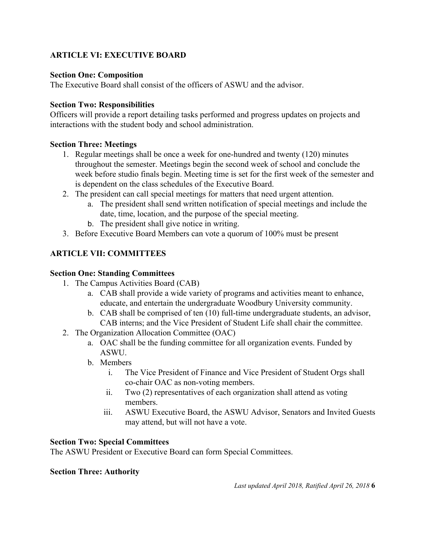# **ARTICLE VI: EXECUTIVE BOARD**

#### **Section One: Composition**

The Executive Board shall consist of the officers of ASWU and the advisor.

#### **Section Two: Responsibilities**

Officers will provide a report detailing tasks performed and progress updates on projects and interactions with the student body and school administration.

#### **Section Three: Meetings**

- 1. Regular meetings shall be once a week for one-hundred and twenty (120) minutes throughout the semester. Meetings begin the second week of school and conclude the week before studio finals begin. Meeting time is set for the first week of the semester and is dependent on the class schedules of the Executive Board.
- 2. The president can call special meetings for matters that need urgent attention.
	- a. The president shall send written notification of special meetings and include the date, time, location, and the purpose of the special meeting.
	- b. The president shall give notice in writing.
- 3. Before Executive Board Members can vote a quorum of 100% must be present

# **ARTICLE VII: COMMITTEES**

#### **Section One: Standing Committees**

- 1. The Campus Activities Board (CAB)
	- a. CAB shall provide a wide variety of programs and activities meant to enhance, educate, and entertain the undergraduate Woodbury University community.
	- b. CAB shall be comprised of ten (10) full-time undergraduate students, an advisor, CAB interns; and the Vice President of Student Life shall chair the committee.
- 2. The Organization Allocation Committee (OAC)
	- a. OAC shall be the funding committee for all organization events. Funded by ASWU.
	- b. Members
		- i. The Vice President of Finance and Vice President of Student Orgs shall co-chair OAC as non-voting members.
		- ii. Two (2) representatives of each organization shall attend as voting members.
		- iii. ASWU Executive Board, the ASWU Advisor, Senators and Invited Guests may attend, but will not have a vote.

#### **Section Two: Special Committees**

The ASWU President or Executive Board can form Special Committees.

#### **Section Three: Authority**